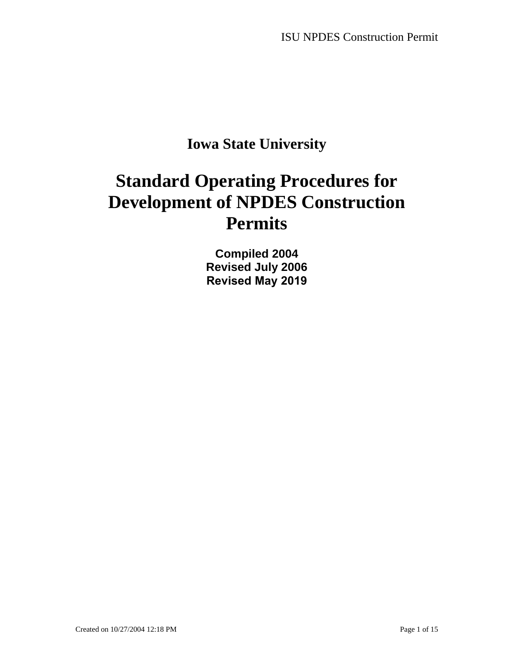## **Iowa State University**

# **Standard Operating Procedures for Development of NPDES Construction Permits**

**Compiled 2004 Revised July 2006 Revised May 2019**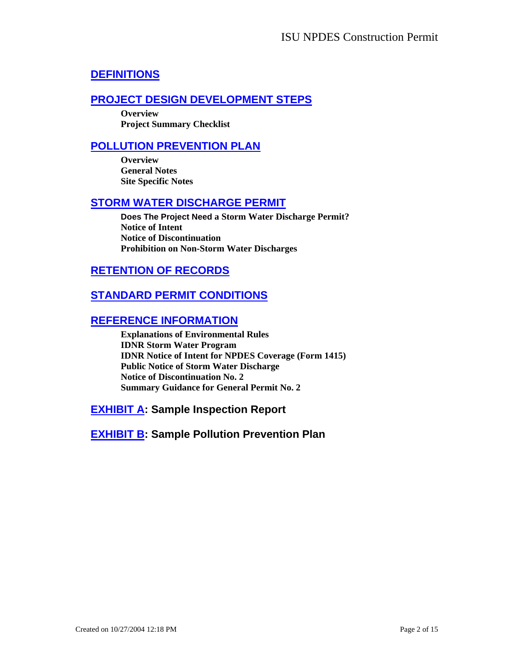### **[DEFINITIONS](#page-2-0)**

### **[PROJECT DESIGN DEVELOPMENT STEPS](#page-3-0)**

**Overview Project Summary Checklist** 

#### **[POLLUTION PREVENTION PLAN](#page-6-0)**

**Overview General Notes Site Specific Notes** 

#### **[STORM WATER DISCHARGE PERMIT](#page-10-0)**

**Does The Project Need a Storm Water Discharge Permit? Notice of Intent Notice of Discontinuation Prohibition on Non-Storm Water Discharges** 

#### **[RETENTION OF RECORDS](#page-12-0)**

### **[STANDARD PERMIT CONDITIONS](#page-12-0)**

#### **[REFERENCE INFORMATION](#page-12-0)**

**Explanations of Environmental Rules IDNR Storm Water Program IDNR Notice of Intent for NPDES Coverage (Form 1415) Public Notice of Storm Water Discharge Notice of Discontinuation No. 2 Summary Guidance for General Permit No. 2** 

**[EXHIBIT A](#page-13-0): Sample Inspection Report**

**[EXHIBIT B](#page-14-0): Sample Pollution Prevention Plan**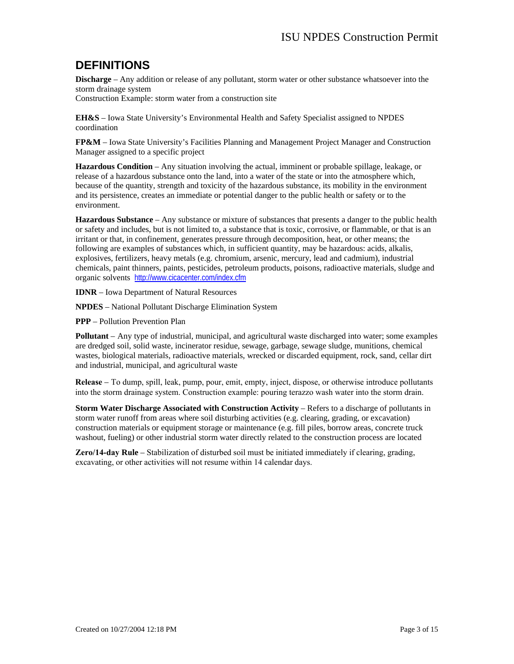## <span id="page-2-0"></span>**DEFINITIONS**

**Discharge** – Any addition or release of any pollutant, storm water or other substance whatsoever into the storm drainage system

Construction Example: storm water from a construction site

**EH&S** – Iowa State University's Environmental Health and Safety Specialist assigned to NPDES coordination

**FP&M** – Iowa State University's Facilities Planning and Management Project Manager and Construction Manager assigned to a specific project

**Hazardous Condition** – Any situation involving the actual, imminent or probable spillage, leakage, or release of a hazardous substance onto the land, into a water of the state or into the atmosphere which, because of the quantity, strength and toxicity of the hazardous substance, its mobility in the environment and its persistence, creates an immediate or potential danger to the public health or safety or to the environment.

**Hazardous Substance** – Any substance or mixture of substances that presents a danger to the public health or safety and includes, but is not limited to, a substance that is toxic, corrosive, or flammable, or that is an irritant or that, in confinement, generates pressure through decomposition, heat, or other means; the following are examples of substances which, in sufficient quantity, may be hazardous: acids, alkalis, explosives, fertilizers, heavy metals (e.g. chromium, arsenic, mercury, lead and cadmium), industrial chemicals, paint thinners, paints, pesticides, petroleum products, poisons, radioactive materials, sludge and organic solvents <http://www.cicacenter.com/index.cfm>

**IDNR** – Iowa Department of Natural Resources

**NPDES** – National Pollutant Discharge Elimination System

**PPP** – Pollution Prevention Plan

**Pollutant** *–* Any type of industrial, municipal, and agricultural waste discharged into water; some examples are dredged soil, solid waste, incinerator residue, sewage, garbage, sewage sludge, munitions, chemical wastes, biological materials, radioactive materials, wrecked or discarded equipment, rock, sand, cellar dirt and industrial, municipal, and agricultural waste

**Release** *–* To dump, spill, leak, pump, pour, emit, empty, inject, dispose, or otherwise introduce pollutants into the storm drainage system. Construction example: pouring terazzo wash water into the storm drain.

**Storm Water Discharge Associated with Construction Activity** – Refers to a discharge of pollutants in storm water runoff from areas where soil disturbing activities (e.g. clearing, grading, or excavation) construction materials or equipment storage or maintenance (e.g. fill piles, borrow areas, concrete truck washout, fueling) or other industrial storm water directly related to the construction process are located

**Zero/14-day Rule** – Stabilization of disturbed soil must be initiated immediately if clearing, grading, excavating, or other activities will not resume within 14 calendar days.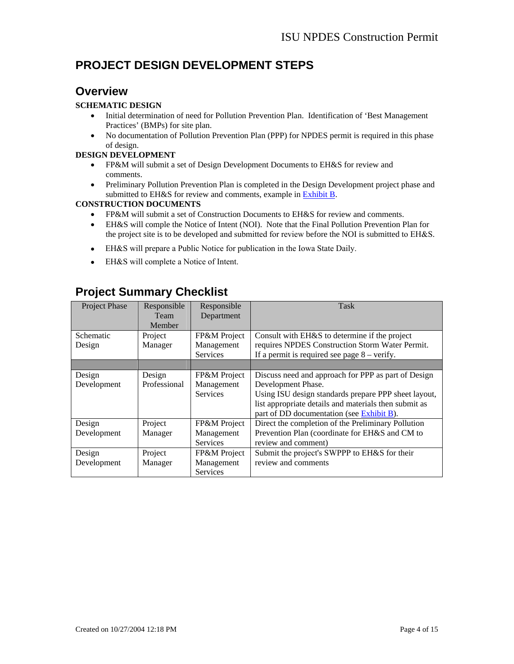## <span id="page-3-0"></span>**PROJECT DESIGN DEVELOPMENT STEPS**

### **Overview**

#### **SCHEMATIC DESIGN**

- Initial determination of need for Pollution Prevention Plan. Identification of 'Best Management Practices' (BMPs) for site plan.
- No documentation of Pollution Prevention Plan (PPP) for NPDES permit is required in this phase of design.

#### **DESIGN DEVELOPMENT**

- FP&M will submit a set of Design Development Documents to EH&S for review and comments.
- Preliminary Pollution Prevention Plan is completed in the Design Development project phase and submitted to EH&S for review and comments, example in Exhi[bit B.](#page-14-0)

#### **CONSTRUCTION DOCUMENTS**

- FP&M will submit a set of Construction Documents to EH&S for review and comments.
- EH&S will comple the Notice of Intent (NOI). Note that the Final Pollution Prevention Plan for the project site is to be developed and submitted for review before the NOI is submitted to EH&S.
- EH&S will prepare a Public Notice for publication in the Iowa State Daily.
- EH&S will complete a Notice of Intent.

### **Project Summary Checklist**

| Project Phase | Responsible<br>Team<br>Member | Responsible<br>Department     | <b>Task</b>                                                                                       |
|---------------|-------------------------------|-------------------------------|---------------------------------------------------------------------------------------------------|
| Schematic     | Project                       | FP&M Project                  | Consult with EH&S to determine if the project                                                     |
| Design        | Manager                       | Management<br><b>Services</b> | requires NPDES Construction Storm Water Permit.<br>If a permit is required see page $8$ – verify. |
|               |                               |                               |                                                                                                   |
| Design        | Design                        | FP&M Project                  | Discuss need and approach for PPP as part of Design                                               |
| Development   | Professional                  | Management                    | Development Phase.                                                                                |
|               |                               | <b>Services</b>               | Using ISU design standards prepare PPP sheet layout,                                              |
|               |                               |                               | list appropriate details and materials then submit as                                             |
|               |                               |                               | part of DD documentation (see Exhibit B).                                                         |
| Design        | Project                       | FP&M Project                  | Direct the completion of the Preliminary Pollution                                                |
| Development   | Manager                       | Management                    | Prevention Plan (coordinate for EH&S and CM to                                                    |
|               |                               | <b>Services</b>               | review and comment)                                                                               |
| Design        | Project                       | FP&M Project                  | Submit the project's SWPPP to EH&S for their                                                      |
| Development   | Manager                       | Management                    | review and comments                                                                               |
|               |                               | <b>Services</b>               |                                                                                                   |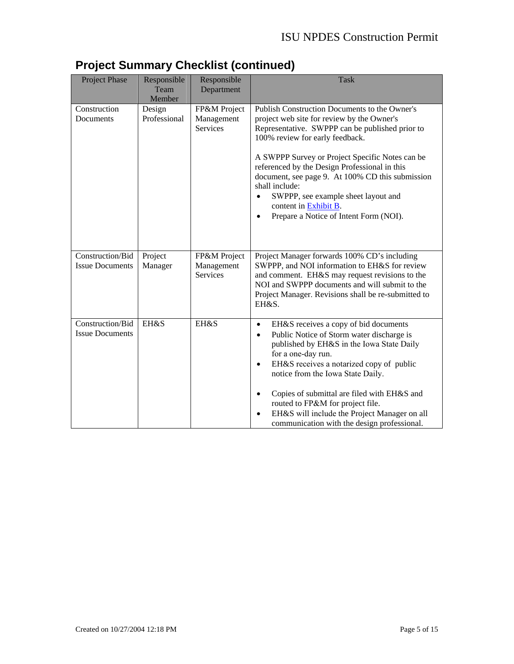| Project Phase                              | Responsible<br>Team<br>Member | Responsible<br>Department                     | <b>Task</b>                                                                                                                                                                                                                                                                                                                                                                                                                                                           |  |
|--------------------------------------------|-------------------------------|-----------------------------------------------|-----------------------------------------------------------------------------------------------------------------------------------------------------------------------------------------------------------------------------------------------------------------------------------------------------------------------------------------------------------------------------------------------------------------------------------------------------------------------|--|
| Construction<br>Documents                  | Design<br>Professional        | FP&M Project<br>Management<br><b>Services</b> | Publish Construction Documents to the Owner's<br>project web site for review by the Owner's<br>Representative. SWPPP can be published prior to<br>100% review for early feedback.<br>A SWPPP Survey or Project Specific Notes can be<br>referenced by the Design Professional in this<br>document, see page 9. At 100% CD this submission<br>shall include:<br>SWPPP, see example sheet layout and<br>content in Exhibit B.<br>Prepare a Notice of Intent Form (NOI). |  |
| Construction/Bid<br><b>Issue Documents</b> | Project<br>Manager            | FP&M Project<br>Management<br><b>Services</b> | Project Manager forwards 100% CD's including<br>SWPPP, and NOI information to EH&S for review<br>and comment. EH&S may request revisions to the<br>NOI and SWPPP documents and will submit to the<br>Project Manager. Revisions shall be re-submitted to<br>EH&S.                                                                                                                                                                                                     |  |
| Construction/Bid<br><b>Issue Documents</b> | <b>EH&amp;S</b>               | EH&S                                          | EH&S receives a copy of bid documents<br>$\bullet$<br>Public Notice of Storm water discharge is<br>published by EH&S in the Iowa State Daily<br>for a one-day run.<br>EH&S receives a notarized copy of public<br>notice from the Iowa State Daily.<br>Copies of submittal are filed with EH&S and<br>routed to FP&M for project file.<br>EH&S will include the Project Manager on all<br>communication with the design professional.                                 |  |

## **Project Summary Checklist (continued)**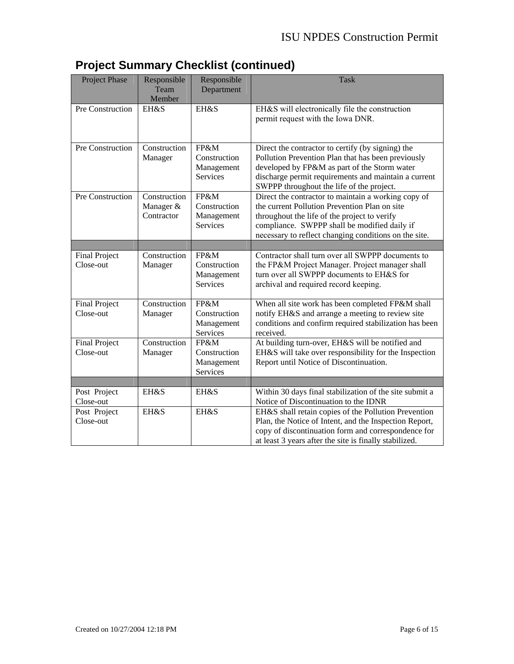|  | <b>Project Summary Checklist (continued)</b> |
|--|----------------------------------------------|
|  |                                              |

| <b>Project Phase</b>              | Responsible<br>Team<br>Member           | Responsible<br>Department                             | <b>Task</b>                                                                                                                                                                                                                                                   |
|-----------------------------------|-----------------------------------------|-------------------------------------------------------|---------------------------------------------------------------------------------------------------------------------------------------------------------------------------------------------------------------------------------------------------------------|
| Pre Construction                  | EH&S                                    | EH&S                                                  | EH&S will electronically file the construction<br>permit request with the Iowa DNR.                                                                                                                                                                           |
| Pre Construction                  | Construction<br>Manager                 | FP&M<br>Construction<br>Management<br><b>Services</b> | Direct the contractor to certify (by signing) the<br>Pollution Prevention Plan that has been previously<br>developed by FP&M as part of the Storm water<br>discharge permit requirements and maintain a current<br>SWPPP throughout the life of the project.  |
| Pre Construction                  | Construction<br>Manager &<br>Contractor | FP&M<br>Construction<br>Management<br>Services        | Direct the contractor to maintain a working copy of<br>the current Pollution Prevention Plan on site<br>throughout the life of the project to verify<br>compliance. SWPPP shall be modified daily if<br>necessary to reflect changing conditions on the site. |
|                                   |                                         |                                                       |                                                                                                                                                                                                                                                               |
| <b>Final Project</b><br>Close-out | Construction<br>Manager                 | FP&M<br>Construction<br>Management<br><b>Services</b> | Contractor shall turn over all SWPPP documents to<br>the FP&M Project Manager. Project manager shall<br>turn over all SWPPP documents to EH&S for<br>archival and required record keeping.                                                                    |
| <b>Final Project</b><br>Close-out | Construction<br>Manager                 | FP&M<br>Construction<br>Management<br>Services        | When all site work has been completed FP&M shall<br>notify EH&S and arrange a meeting to review site<br>conditions and confirm required stabilization has been<br>received.                                                                                   |
| <b>Final Project</b><br>Close-out | Construction<br>Manager                 | FP&M<br>Construction<br>Management<br>Services        | At building turn-over, EH&S will be notified and<br>EH&S will take over responsibility for the Inspection<br>Report until Notice of Discontinuation.                                                                                                          |
|                                   |                                         |                                                       |                                                                                                                                                                                                                                                               |
| Post Project<br>Close-out         | EH&S                                    | EH&S                                                  | Within 30 days final stabilization of the site submit a<br>Notice of Discontinuation to the IDNR                                                                                                                                                              |
| Post Project<br>Close-out         | <b>EH&amp;S</b>                         | <b>EH&amp;S</b>                                       | EH&S shall retain copies of the Pollution Prevention<br>Plan, the Notice of Intent, and the Inspection Report,<br>copy of discontinuation form and correspondence for<br>at least 3 years after the site is finally stabilized.                               |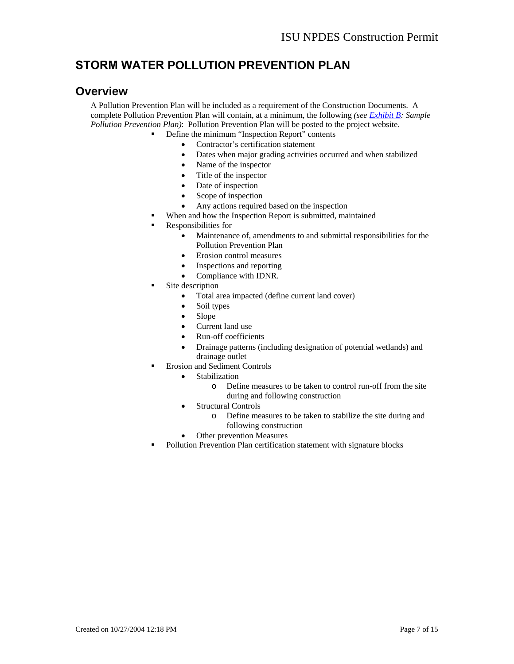## <span id="page-6-0"></span>**STORM WATER POLLUTION PREVENTION PLAN**

#### **Overview**

A Pollution Prevention Plan will be included as a requirement of the Construction Documents. A complete Pollution Prevention Plan will contain, at a minimum, the following *(see [Exhibit B:](#page-14-0) Sample Pollution Prevention Plan)*: Pollution Prevention Plan will be posted to the project website.

- Define the minimum "Inspection Report" contents
	- Contractor's certification statement
	- Dates when major grading activities occurred and when stabilized
	- Name of the inspector
	- Title of the inspector
	- Date of inspection
	- Scope of inspection
	- Any actions required based on the inspection
	- When and how the Inspection Report is submitted, maintained
	- Responsibilities for
		- Maintenance of, amendments to and submittal responsibilities for the Pollution Prevention Plan
		- Erosion control measures
		- Inspections and reporting
		- Compliance with IDNR.
	- Site description
		- Total area impacted (define current land cover)
		- Soil types
		- Slope
		- Current land use
		- Run-off coefficients
		- Drainage patterns (including designation of potential wetlands) and drainage outlet
	- **Exercise 5 Exercise Sediment Controls** 
		- **Stabilization** 
			- o Define measures to be taken to control run-off from the site during and following construction
		- Structural Controls
			- o Define measures to be taken to stabilize the site during and following construction
		- Other prevention Measures
	- Pollution Prevention Plan certification statement with signature blocks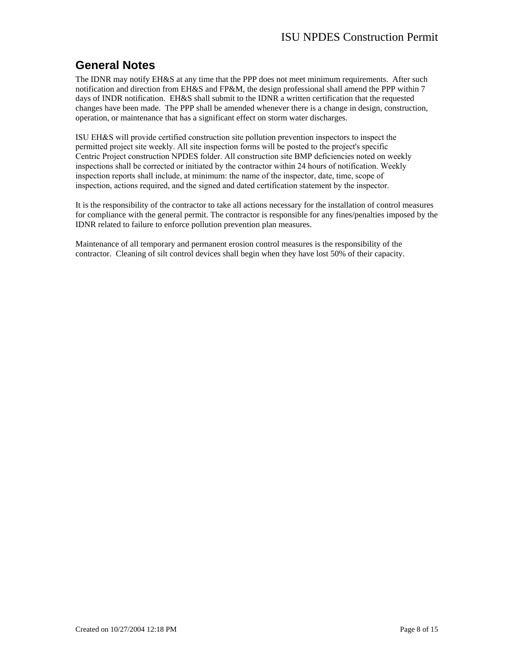## **General Notes**

The IDNR may notify EH&S at any time that the PPP does not meet minimum requirements. After such notification and direction from EH&S and FP&M, the design professional shall amend the PPP within 7 days of INDR notification. EH&S shall submit to the IDNR a written certification that the requested changes have been made. The PPP shall be amended whenever there is a change in design, construction, operation, or maintenance that has a significant effect on storm water discharges.

ISU EH&S will provide certified construction site pollution preve[ntion inspe](#page-13-0)ctors to inspect the permitted project site weekly. All site inspection forms will be posted to the project's specific Centric Project construction NPDES folder. All construction site BMP deficiencies noted on weekly inspections shall be corrected or initiated by the contractor within 24 hours of notification. Weekly inspection reports shall include, at minimum: the name of the inspector, date, time, scope of inspection, actions required, and the signed and dated certification statement by the inspector.

It is the responsibility of the contractor to take all actions necessary for the installation of control measures for compliance with the general permit. The contractor is responsible for any fines/penalties imposed by the IDNR related to failure to enforce pollution prevention plan measures.

Maintenance of all temporary and permanent erosion control measures is the responsibility of the contractor. Cleaning of silt control devices shall begin when they have lost 50% of their capacity.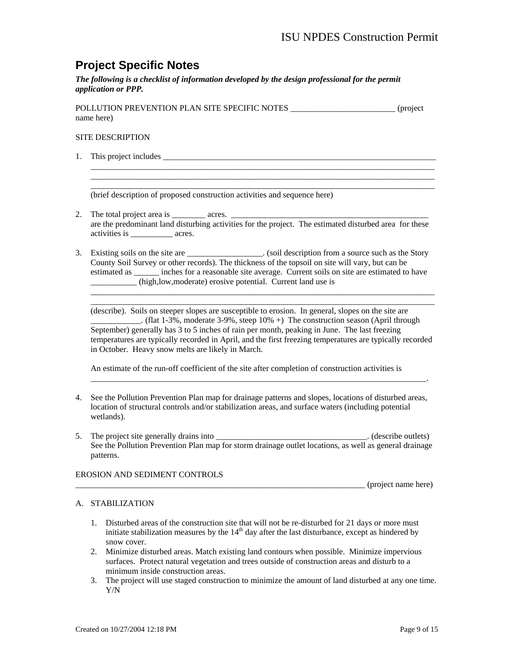## **Project Specific Notes**

*The following is a checklist of information developed by the design professional for the permit application or PPP.* 

POLLUTION PREVENTION PLAN SITE SPECIFIC NOTES  $(project)$ name here)

#### SITE DESCRIPTION

1. This project includes \_\_\_\_\_\_\_\_\_\_\_\_\_\_\_\_\_\_\_\_\_\_\_\_\_\_\_\_\_\_\_\_\_\_\_\_\_\_\_\_\_\_\_\_\_\_\_\_\_\_\_\_\_\_\_\_\_\_\_\_\_\_\_\_\_

\_\_\_\_\_\_\_\_\_\_\_\_\_\_\_\_\_\_\_\_\_\_\_\_\_\_\_\_\_\_\_\_\_\_\_\_\_\_\_\_\_\_\_\_\_\_\_\_\_\_\_\_\_\_\_\_\_\_\_\_\_\_\_\_\_\_\_\_\_\_\_\_\_\_\_\_\_\_\_\_\_\_ (brief description of proposed construction activities and sequence here)

2. The total project area is  $\qquad \qquad \text{acres.}$ are the predominant land disturbing activities for the project. The estimated disturbed area for these activities is  $\qquad \qquad \text{ acres.}$ 

\_\_\_\_\_\_\_\_\_\_\_\_\_\_\_\_\_\_\_\_\_\_\_\_\_\_\_\_\_\_\_\_\_\_\_\_\_\_\_\_\_\_\_\_\_\_\_\_\_\_\_\_\_\_\_\_\_\_\_\_\_\_\_\_\_\_\_\_\_\_\_\_\_\_\_\_\_\_\_\_\_\_ \_\_\_\_\_\_\_\_\_\_\_\_\_\_\_\_\_\_\_\_\_\_\_\_\_\_\_\_\_\_\_\_\_\_\_\_\_\_\_\_\_\_\_\_\_\_\_\_\_\_\_\_\_\_\_\_\_\_\_\_\_\_\_\_\_\_\_\_\_\_\_\_\_\_\_\_\_\_\_\_\_\_

3. Existing soils on the site are \_\_\_\_\_\_\_\_\_\_\_\_\_\_\_\_. (soil description from a source such as the Story County Soil Survey or other records). The thickness of the topsoil on site will vary, but can be estimated as \_\_\_\_\_\_\_\_ inches for a reasonable site average. Current soils on site are estimated to have \_\_\_\_\_\_\_\_\_\_\_ (high,low,moderate) erosive potential. Current land use is

(describe). Soils on steeper slopes are susceptible to erosion. In general, slopes on the site are . (flat 1-3%, moderate 3-9%, steep 10% +) The construction season (April through September) generally has 3 to 5 inches of rain per month, peaking in June. The last freezing temperatures are typically recorded in April, and the first freezing temperatures are typically recorded in October. Heavy snow melts are likely in March.

\_\_\_\_\_\_\_\_\_\_\_\_\_\_\_\_\_\_\_\_\_\_\_\_\_\_\_\_\_\_\_\_\_\_\_\_\_\_\_\_\_\_\_\_\_\_\_\_\_\_\_\_\_\_\_\_\_\_\_\_\_\_\_\_\_\_\_\_\_\_\_\_\_\_\_\_\_\_\_\_.

\_\_\_\_\_\_\_\_\_\_\_\_\_\_\_\_\_\_\_\_\_\_\_\_\_\_\_\_\_\_\_\_\_\_\_\_\_\_\_\_\_\_\_\_\_\_\_\_\_\_\_\_\_\_\_\_\_\_\_\_\_\_\_\_\_\_\_\_\_\_\_\_\_\_\_\_\_\_\_\_\_\_ \_\_\_\_\_\_\_\_\_\_\_\_\_\_\_\_\_\_\_\_\_\_\_\_\_\_\_\_\_\_\_\_\_\_\_\_\_\_\_\_\_\_\_\_\_\_\_\_\_\_\_\_\_\_\_\_\_\_\_\_\_\_\_\_\_\_\_\_\_\_\_\_\_\_\_\_\_\_\_\_\_\_

An estimate of the run-off coefficient of the site after completion of construction activities is

- 4. See the Pollution Prevention Plan map for drainage patterns and slopes, locations of disturbed areas, location of structural controls and/or stabilization areas, and surface waters (including potential wetlands).
- 5. The project site generally drains into \_\_\_\_\_\_\_\_\_\_\_\_\_\_\_\_\_\_\_\_\_\_\_\_\_\_\_\_\_\_\_\_\_. (describe outlets) See the Pollution Prevention Plan map for storm drainage outlet locations, as well as general drainage patterns.

#### EROSION AND SEDIMENT CONTROLS

 $(\text{project name here})$ 

#### A. STABILIZATION

- 1. Disturbed areas of the construction site that will not be re-disturbed for 21 days or more must initiate stabilization measures by the  $14<sup>th</sup>$  day after the last disturbance, except as hindered by snow cover.
- 2. Minimize disturbed areas. Match existing land contours when possible. Minimize impervious surfaces. Protect natural vegetation and trees outside of construction areas and disturb to a minimum inside construction areas.
- 3. The project will use staged construction to minimize the amount of land disturbed at any one time. Y/N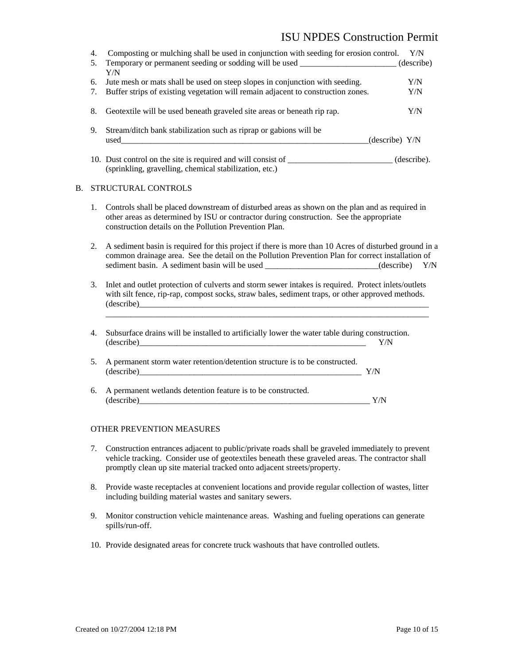#### ISU NPDES Construction Permit

|    | 4.<br>5. | Composting or mulching shall be used in conjunction with seeding for erosion control.<br>Temporary or permanent seeding or sodding will be used _______________________ (describe)<br>Y/N                                                                                                                                                                                 |     | Y/N        |
|----|----------|---------------------------------------------------------------------------------------------------------------------------------------------------------------------------------------------------------------------------------------------------------------------------------------------------------------------------------------------------------------------------|-----|------------|
|    | 6.<br>7. | Jute mesh or mats shall be used on steep slopes in conjunction with seeding.<br>Buffer strips of existing vegetation will remain adjacent to construction zones.                                                                                                                                                                                                          |     | Y/N<br>Y/N |
|    | 8.       | Geotextile will be used beneath graveled site areas or beneath rip rap.                                                                                                                                                                                                                                                                                                   |     | Y/N        |
|    | 9.       | Stream/ditch bank stabilization such as riprap or gabions will be                                                                                                                                                                                                                                                                                                         |     |            |
|    |          | 10. Dust control on the site is required and will consist of ____________________(describe).<br>(sprinkling, gravelling, chemical stabilization, etc.)                                                                                                                                                                                                                    |     |            |
| В. |          | STRUCTURAL CONTROLS                                                                                                                                                                                                                                                                                                                                                       |     |            |
|    | 1.       | Controls shall be placed downstream of disturbed areas as shown on the plan and as required in<br>other areas as determined by ISU or contractor during construction. See the appropriate<br>construction details on the Pollution Prevention Plan.                                                                                                                       |     |            |
|    | 2.       | A sediment basin is required for this project if there is more than 10 Acres of disturbed ground in a<br>common drainage area. See the detail on the Pollution Prevention Plan for correct installation of<br>sediment basin. A sediment basin will be used ___________________________(describe) Y/N                                                                     |     |            |
|    | 3.       | Inlet and outlet protection of culverts and storm sewer intakes is required. Protect inlets/outlets<br>with silt fence, rip-rap, compost socks, straw bales, sediment traps, or other approved methods.                                                                                                                                                                   |     |            |
|    | 4.       | Subsurface drains will be installed to artificially lower the water table during construction.<br>$ recorded  \frac{1}{2} \frac{1}{2} \frac{1}{2} \frac{1}{2} \frac{1}{2} \frac{1}{2} \frac{1}{2} \frac{1}{2} \frac{1}{2} \frac{1}{2} \frac{1}{2} \frac{1}{2} \frac{1}{2} \frac{1}{2} \frac{1}{2} \frac{1}{2} \frac{1}{2} \frac{1}{2} \frac{1}{2} \frac{1}{2} \frac{1}{2$ | Y/N |            |
|    | 5.       | A permanent storm water retention/detention structure is to be constructed.<br>$(describe)$ $Y/N$                                                                                                                                                                                                                                                                         |     |            |
|    | 6.       | A permanent wetlands detention feature is to be constructed.                                                                                                                                                                                                                                                                                                              | Y/N |            |
|    |          |                                                                                                                                                                                                                                                                                                                                                                           |     |            |

#### OTHER PREVENTION MEASURES

- 7. Construction entrances adjacent to public/private roads shall be graveled immediately to prevent vehicle tracking. Consider use of geotextiles beneath these graveled areas. The contractor shall promptly clean up site material tracked onto adjacent streets/property.
- 8. Provide waste receptacles at convenient locations and provide regular collection of wastes, litter including building material wastes and sanitary sewers.
- 9. Monitor construction vehicle maintenance areas. Washing and fueling operations can generate spills/run-off.
- 10. Provide designated areas for concrete truck washouts that have controlled outlets.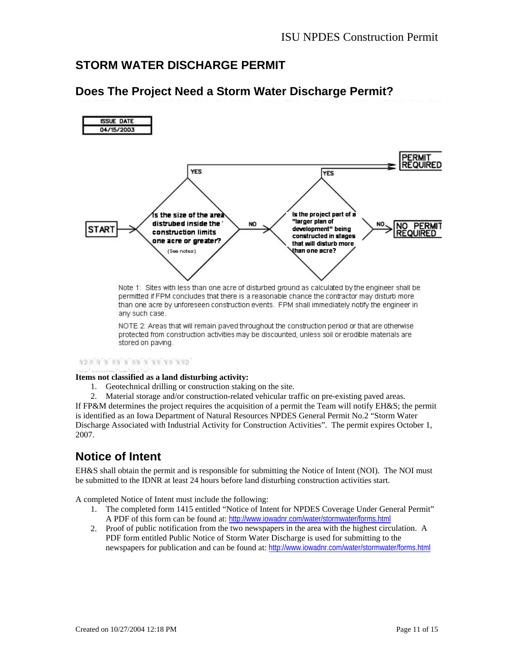### <span id="page-10-0"></span>**STORM WATER DISCHARGE PERMIT**



### **Does The Project Need a Storm Water Discharge Permit?**

permitted if FPM concludes that there is a reasonable chance the contractor may disturb more than one acre by unforeseen construction events. FPM shall immediately notify the engineer in any such case.

NOTE 2: Areas that will remain payed throughout the construction period or that are otherwise protected from construction activities may be discounted, unless soil or erodible materials are stored on paving.

#### ada a a sa a sa a as as asa:

#### **Items not classified as a land disturbing activity:**

- 1. Geotechnical drilling or construction staking on the site.
- 2. Material storage and/or construction-related vehicular traffic on pre-existing paved areas.

If FP&M determines the project requires the acquisition of a permit the Team will notify EH&S; the permit is identified as an Iowa Department of Natural Resources NPDES General Permit No.2 "Storm Water Discharge Associated with Industrial Activity for Construction Activities". The permit expires October 1, 2007.

### **Notice of Intent**

EH&S shall obtain the permit and is responsible for submitting the Notice of Intent (NOI). The NOI must be submitted to the IDNR at least 24 hours before land disturbing construction activities start.

A completed Notice of Intent must include the following:

- 1. The completed form 1415 entitled "Notice of Intent for NPDES Coverage Under General Permit" A PDF of this form can be found at: <http://www.iowadnr.com/water/stormwater/forms.html>
- 2. Proof of public notification from the two newspapers in the area with the highest circulation. A PDF form entitled Public Notice of Storm Water Discharge is used for submitting to the newspapers for publication and can be found at: <http://www.iowadnr.com/water/stormwater/forms.html>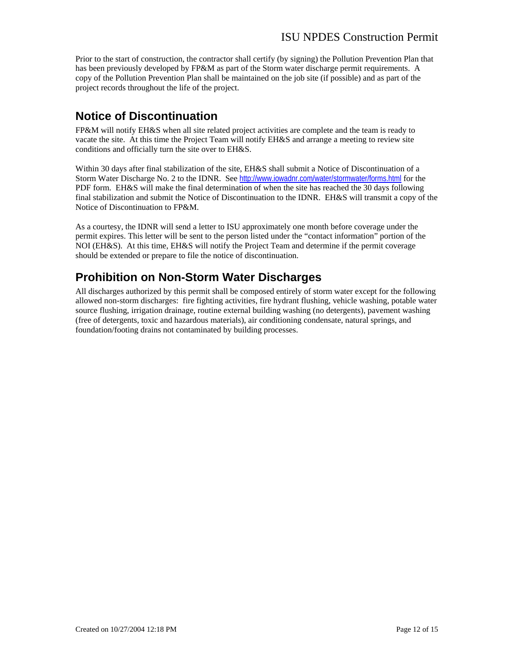Prior to the start of construction, the contractor shall certify (by signing) the Pollution Prevention Plan that has been previously developed by FP&M as part of the Storm water discharge permit requirements. A copy of the Pollution Prevention Plan shall be maintained on the job site (if possible) and as part of the project records throughout the life of the project.

### **Notice of Discontinuation**

FP&M will notify EH&S when all site related project activities are complete and the team is ready to vacate the site. At this time the Project Team will notify EH&S and arrange a meeting to review site conditions and officially turn the site over to EH&S.

Within 30 days after final stabilization of the site, EH&S shall submit a Notice of Discontinuation of a Storm Water Discharge No. 2 to the IDNR. See http://www.iowadnr.com/water/stormwater/forms.html for the PDF form. EH&S will make the final determination of when the site has reached the 30 days following final stabilization and submit the Notice of Discontinuation to the IDNR. EH&S will transmit a copy of the [Notice of Discontinuation to FP&M.](http://www.iowadnr.com/water/stormwater/index.html) 

As a courtesy, the IDNR will send a letter to ISU approximately one month before coverage under the permit expires. This letter will be sent to the person listed under the "contact information" portion of the NOI (EH&S). At this time, EH&S will notify the Project Team and determine if the permit coverage should be extended or prepare to file the notice of discontinuation.

## **Prohibition on Non-Storm Water Discharges**

All discharges authorized by this permit shall be composed entirely of storm water except for the following allowed non-storm discharges: fire fighting activities, fire hydrant flushing, vehicle washing, potable water source flushing, irrigation drainage, routine external building washing (no detergents), pavement washing (free of detergents, toxic and hazardous materials), air conditioning condensate, natural springs, and foundation/footing drains not contaminated by building processes.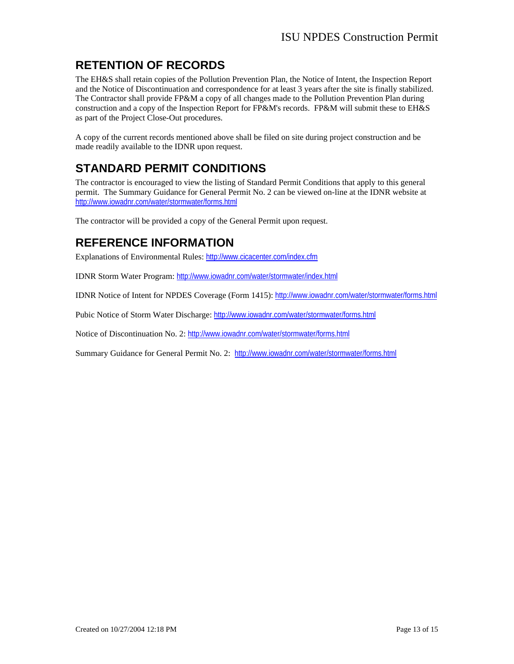## <span id="page-12-0"></span>**RETENTION OF RECORDS**

The EH&S shall retain copies of the Pollution Prevention Plan, the Notice of Intent, the Inspection Report and the Notice of Discontinuation and correspondence for at least 3 years after the site is finally stabilized. The Contractor shall provide FP&M a copy of all changes made to the Pollution Prevention Plan during construction and a copy of the Inspection Report for FP&M's records. FP&M will submit these to EH&S as part of the Project Close-Out procedures.

A copy of the current records mentioned above shall be filed on site during project construction and be made readily available to the IDNR upon request.

## **STANDARD PERMIT CONDITIONS**

The contractor is encouraged to view the listing of Standard Permit Conditions that apply to this general permit. The Summary Guidance for General Permit No. 2 can be viewed on-line at the IDNR website at <http://www.iowadnr.com/water/stormwater/forms.html>

The contractor will be provided a copy of the General Permit upon request.

### **REFERENCE INFORMATION**

Explanations of Environmental Rules: <http://www.cicacenter.com/index.cfm>

IDNR Storm Water Program: <http://www.iowadnr.com/water/stormwater/index.html>

IDNR Notice of Intent for NPDES Coverage (Form 1415): <http://www.iowadnr.com/water/stormwater/forms.html>

Pubic Notice of Storm Water Discharge: <http://www.iowadnr.com/water/stormwater/forms.html>

Notice of Discontinuation No. 2: <http://www.iowadnr.com/water/stormwater/forms.html>

Summary Guidance for General Permit No. 2: <http://www.iowadnr.com/water/stormwater/forms.html>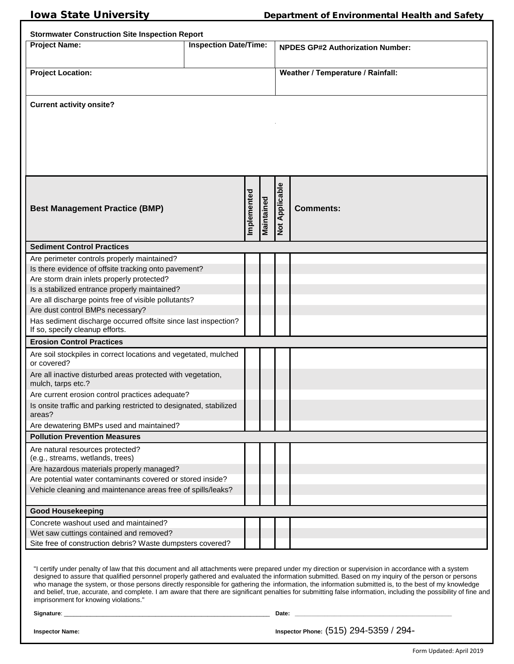<span id="page-13-0"></span>

| <b>Stormwater Construction Site Inspection Report</b>                                             |  |             |                                         |                |                                   |
|---------------------------------------------------------------------------------------------------|--|-------------|-----------------------------------------|----------------|-----------------------------------|
| <b>Inspection Date/Time:</b><br><b>Project Name:</b>                                              |  |             | <b>NPDES GP#2 Authorization Number:</b> |                |                                   |
|                                                                                                   |  |             |                                         |                |                                   |
| <b>Project Location:</b>                                                                          |  |             |                                         |                | Weather / Temperature / Rainfall: |
|                                                                                                   |  |             |                                         |                |                                   |
|                                                                                                   |  |             |                                         |                |                                   |
| <b>Current activity onsite?</b>                                                                   |  |             |                                         |                |                                   |
|                                                                                                   |  |             |                                         |                |                                   |
|                                                                                                   |  |             |                                         |                |                                   |
|                                                                                                   |  |             |                                         |                |                                   |
|                                                                                                   |  |             |                                         |                |                                   |
|                                                                                                   |  |             |                                         |                |                                   |
|                                                                                                   |  |             |                                         |                |                                   |
|                                                                                                   |  | Implemented |                                         | Not Applicable |                                   |
| <b>Best Management Practice (BMP)</b>                                                             |  |             | Maintained                              |                | <b>Comments:</b>                  |
|                                                                                                   |  |             |                                         |                |                                   |
|                                                                                                   |  |             |                                         |                |                                   |
| <b>Sediment Control Practices</b>                                                                 |  |             |                                         |                |                                   |
| Are perimeter controls properly maintained?                                                       |  |             |                                         |                |                                   |
| Is there evidence of offsite tracking onto pavement?                                              |  |             |                                         |                |                                   |
| Are storm drain inlets properly protected?                                                        |  |             |                                         |                |                                   |
| Is a stabilized entrance properly maintained?                                                     |  |             |                                         |                |                                   |
| Are all discharge points free of visible pollutants?                                              |  |             |                                         |                |                                   |
| Are dust control BMPs necessary?                                                                  |  |             |                                         |                |                                   |
| Has sediment discharge occurred offsite since last inspection?<br>If so, specify cleanup efforts. |  |             |                                         |                |                                   |
| <b>Erosion Control Practices</b>                                                                  |  |             |                                         |                |                                   |
| Are soil stockpiles in correct locations and vegetated, mulched<br>or covered?                    |  |             |                                         |                |                                   |
| Are all inactive disturbed areas protected with vegetation,<br>mulch, tarps etc.?                 |  |             |                                         |                |                                   |
| Are current erosion control practices adequate?                                                   |  |             |                                         |                |                                   |
| Is onsite traffic and parking restricted to designated, stabilized<br>areas?                      |  |             |                                         |                |                                   |
| Are dewatering BMPs used and maintained?                                                          |  |             |                                         |                |                                   |
| <b>Pollution Prevention Measures</b>                                                              |  |             |                                         |                |                                   |
| Are natural resources protected?<br>(e.g., streams, wetlands, trees)                              |  |             |                                         |                |                                   |
| Are hazardous materials properly managed?                                                         |  |             |                                         |                |                                   |
| Are potential water contaminants covered or stored inside?                                        |  |             |                                         |                |                                   |
| Vehicle cleaning and maintenance areas free of spills/leaks?                                      |  |             |                                         |                |                                   |
| <b>Good Housekeeping</b>                                                                          |  |             |                                         |                |                                   |
| Concrete washout used and maintained?                                                             |  |             |                                         |                |                                   |
| Wet saw cuttings contained and removed?                                                           |  |             |                                         |                |                                   |
| Site free of construction debris? Waste dumpsters covered?                                        |  |             |                                         |                |                                   |

"I certify under penalty of law that this document and all attachments were prepared under my direction or supervision in accordance with a system designed to assure that qualified personnel properly gathered and evaluated the information submitted. Based on my inquiry of the person or persons who manage the system, or those persons directly responsible for gathering the information, the information submitted is, to the best of my knowledge and belief, true, accurate, and complete. I am aware that there are significant penalties for submitting false information, including the possibility of fine and imprisonment for knowing violations."

**Signature**: \_\_\_\_\_\_\_\_\_\_\_\_\_\_\_\_\_\_\_\_\_\_\_\_\_\_\_\_\_\_\_\_\_\_\_\_\_\_\_\_\_\_\_\_\_\_\_\_\_\_\_\_\_\_\_\_\_\_\_\_\_\_\_ **Date: \_\_\_\_\_\_\_\_\_\_\_\_\_\_\_\_\_\_\_\_\_\_\_\_\_\_\_\_\_\_\_\_\_\_\_\_\_\_\_\_\_\_\_\_\_\_\_\_**

**Inspector Name: Inspector Phone:** (515) 294-5359 / 294-